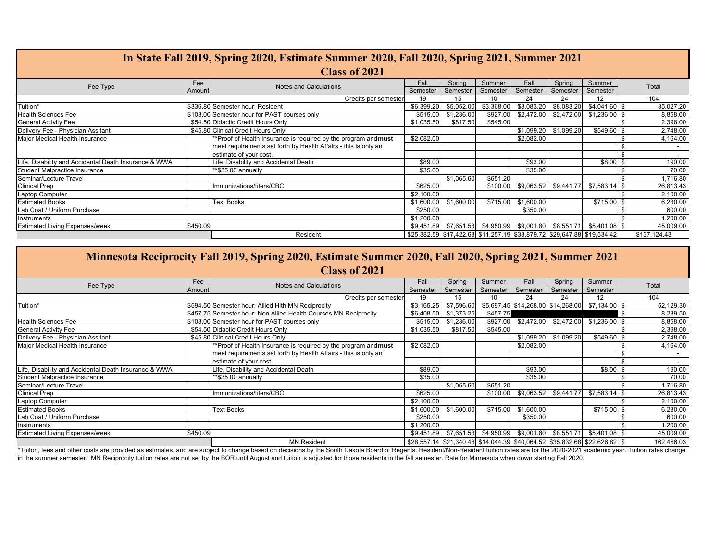| In State Fall 2019, Spring 2020, Estimate Summer 2020, Fall 2020, Spring 2021, Summer 2021 |          |                                                                 |            |            |                                                                         |            |            |                |  |              |  |
|--------------------------------------------------------------------------------------------|----------|-----------------------------------------------------------------|------------|------------|-------------------------------------------------------------------------|------------|------------|----------------|--|--------------|--|
| <b>Class of 2021</b>                                                                       |          |                                                                 |            |            |                                                                         |            |            |                |  |              |  |
| Fee Type                                                                                   | Fee      | <b>Notes and Calculations</b>                                   | Fall       | Spring     | Summer                                                                  | Fall       | Spring     | Summer         |  | Total        |  |
|                                                                                            | Amount   |                                                                 | Semester   | Semester   | Semester                                                                | Semester   | Semester   | Semester       |  |              |  |
|                                                                                            |          | Credits per semester                                            | 19         | 15         | 10                                                                      | 24         | 24         | 12             |  | 104          |  |
| Tuition*                                                                                   |          | \$336.80 Semester hour: Resident                                | \$6,399.20 | \$5,052.00 | \$3,368.00                                                              | \$8,083.20 | \$8,083.20 | $$4,041.60$ \$ |  | 35,027.20    |  |
| <b>Health Sciences Fee</b>                                                                 |          | \$103.00 Semester hour for PAST courses only                    | \$515.00   | \$1,236.00 | \$927.00                                                                | \$2,472.00 | \$2,472.00 | $$1,236.00$ \$ |  | 8,858.00     |  |
| <b>General Activity Fee</b>                                                                |          | \$54.50 Didactic Credit Hours Only                              | \$1,035.50 | \$817.50   | \$545.00                                                                |            |            |                |  | 2,398.00     |  |
| Delivery Fee - Physician Assitant                                                          |          | \$45.80 Clinical Credit Hours Only                              |            |            |                                                                         | \$1,099.20 | \$1,099.20 | \$549.60 \$    |  | 2,748.00     |  |
| Major Medical Health Insurance                                                             |          | **Proof of Health Insurance is required by the program and must | \$2,082.00 |            |                                                                         | \$2,082.00 |            |                |  | 4,164.00     |  |
|                                                                                            |          | meet requirements set forth by Health Affairs - this is only an |            |            |                                                                         |            |            |                |  | $\sim$       |  |
|                                                                                            |          | estimate of your cost.                                          |            |            |                                                                         |            |            |                |  |              |  |
| Life, Disability and Accidental Death Insurance & WWA                                      |          | Life, Disability and Accidental Death                           | \$89.00    |            |                                                                         | \$93.00    |            | $$8.00$$ \$    |  | 190.00       |  |
| Student Malpractice Insurance                                                              |          | **\$35.00 annually                                              | \$35.00    |            |                                                                         | \$35.00    |            |                |  | 70.00        |  |
| Seminar/Lecture Travel                                                                     |          |                                                                 |            | \$1,065.60 | \$651.20                                                                |            |            |                |  | 1,716.80     |  |
| <b>Clinical Prep</b>                                                                       |          | Immunizations/titers/CBC                                        | \$625.00   |            | \$100.00                                                                | \$9,063.52 | \$9,441.77 | $$7,583.14$ \$ |  | 26,813.43    |  |
| Laptop Computer                                                                            |          |                                                                 | \$2,100.00 |            |                                                                         |            |            |                |  | 2,100.00     |  |
| <b>Estimated Books</b>                                                                     |          | <b>Text Books</b>                                               | \$1,600.00 | \$1,600.00 | \$715.00                                                                | \$1,600.00 |            | \$715.00 \$    |  | 6,230.00     |  |
| Lab Coat / Uniform Purchase                                                                |          |                                                                 | \$250.00   |            |                                                                         | \$350.00   |            |                |  | 600.00       |  |
| Instruments                                                                                |          |                                                                 | \$1,200.00 |            |                                                                         |            |            |                |  | 1,200.00     |  |
| <b>Estimated Living Expenses/week</b>                                                      | \$450.09 |                                                                 |            |            | \$9,451.89 \$7,651.53 \$4,950.99 \$9,001.80 \$8,551.71                  |            |            | $$5,401.08$ \$ |  | 45,009.00    |  |
|                                                                                            |          | Resident                                                        |            |            | \$25,382.59 \$17,422.63 \$11,257.19 \$33,879.72 \$29,647.88 \$19,534.42 |            |            |                |  | \$137.124.43 |  |

| Minnesota Reciprocity Fall 2019, Spring 2020, Estimate Summer 2020, Fall 2020, Spring 2021, Summer 2021 |               |                                                                  |            |            |                 |            |                                                                            |                   |  |                          |
|---------------------------------------------------------------------------------------------------------|---------------|------------------------------------------------------------------|------------|------------|-----------------|------------|----------------------------------------------------------------------------|-------------------|--|--------------------------|
| <b>Class of 2021</b>                                                                                    |               |                                                                  |            |            |                 |            |                                                                            |                   |  |                          |
| Fee Type                                                                                                | Fee<br>Amount | <b>Notes and Calculations</b>                                    | Fall       | Spring     | Summer          | Fall       | Spring                                                                     | Summer            |  | Total                    |
|                                                                                                         |               |                                                                  | Semester   | Semester   | Semester        | Semester   | Semester                                                                   | Semester          |  |                          |
|                                                                                                         |               | Credits per semester                                             | 19         | 15         | 10 <sup>°</sup> | 24         | 24                                                                         | $12 \overline{ }$ |  | 104                      |
| Tuition*                                                                                                |               | \$594.50 Semester hour: Allied Hith MN Reciprocity               | \$3,165.25 | \$7,596.60 |                 |            | \$5,697.45 \$14,268.00 \$14,268.00                                         | \$7,134.00 \$     |  | 52,129.30                |
|                                                                                                         |               | \$457.75 Semester hour: Non Allied Health Courses MN Reciprocity | \$6,408.50 | \$1,373.25 | \$457.75        |            |                                                                            |                   |  | 8,239.50                 |
| <b>Health Sciences Fee</b>                                                                              |               | \$103.00 Semester hour for PAST courses only                     | \$515.00   | \$1,236.00 | \$927.00        | \$2,472.00 | \$2,472.00                                                                 | $$1,236.00$ \$    |  | 8,858.00                 |
| <b>General Activity Fee</b>                                                                             |               | \$54.50 Didactic Credit Hours Only                               | \$1,035.50 | \$817.50   | \$545.00        |            |                                                                            |                   |  | 2,398.00                 |
| Delivery Fee - Physician Assitant                                                                       |               | \$45.80 Clinical Credit Hours Only                               |            |            |                 | \$1,099.20 | \$1,099.20                                                                 | \$549.60 \$       |  | 2,748.00                 |
| Major Medical Health Insurance                                                                          |               | **Proof of Health Insurance is required by the program and must  | \$2,082.00 |            |                 | \$2,082.00 |                                                                            |                   |  | 4,164.00                 |
|                                                                                                         |               | meet requirements set forth by Health Affairs - this is only an  |            |            |                 |            |                                                                            |                   |  |                          |
|                                                                                                         |               | estimate of your cost.                                           |            |            |                 |            |                                                                            |                   |  | $\overline{\phantom{a}}$ |
| Life, Disability and Accidental Death Insurance & WWA                                                   |               | Life, Disability and Accidental Death                            | \$89.00    |            |                 | \$93.00    |                                                                            | $$8.00$ \$        |  | 190.00                   |
| Student Malpractice Insurance                                                                           |               | **\$35.00 annually                                               | \$35.00    |            |                 | \$35.00    |                                                                            |                   |  | 70.00                    |
| Seminar/Lecture Travel                                                                                  |               |                                                                  |            | \$1,065.60 | \$651.20        |            |                                                                            |                   |  | 1,716.80                 |
| <b>Clinical Prep</b>                                                                                    |               | Immunizations/titers/CBC                                         | \$625.00   |            | \$100.00        | \$9,063.52 | \$9,441.77                                                                 | $$7,583.14$ \$    |  | 26,813.43                |
| Laptop Computer                                                                                         |               |                                                                  | \$2,100.00 |            |                 |            |                                                                            |                   |  | 2,100.00                 |
| <b>Estimated Books</b>                                                                                  |               | <b>Text Books</b>                                                | \$1,600.00 | \$1,600.00 | \$715.00        | \$1,600.00 |                                                                            | \$715.00 \$       |  | 6,230.00                 |
| Lab Coat / Uniform Purchase                                                                             |               |                                                                  | \$250.00   |            |                 | \$350.00   |                                                                            |                   |  | 600.00                   |
| Instruments                                                                                             |               |                                                                  | \$1,200.00 |            |                 |            |                                                                            |                   |  | 1,200.00                 |
| <b>Estimated Living Expenses/week</b>                                                                   | \$450.09      |                                                                  |            |            |                 |            | \$9,451.89 \$7,651.53 \$4,950.99 \$9,001.80 \$8,551.71 \$5,401.08 \$       |                   |  | 45,009.00                |
|                                                                                                         |               | <b>MN Resident</b><br>.                                          |            |            |                 |            | \$28,557.14 \$21,340.48 \$14,044.39 \$40,064.52 \$35,832.68 \$22,626.82 \$ |                   |  | 162,466.03               |

\*Tuiton, fees and other costs are provided as estimates, and are subject to change based on decisions by the South Dakota Board of Regents. Resident/Non-Resident fuition rates are for the 2020-2021 academic year. Tuition r in the summer semester. MN Reciprocity tuition rates are not set by the BOR until August and tuition is adjusted for those residents in the fall semester. Rate for Minnesota when down starting Fall 2020.